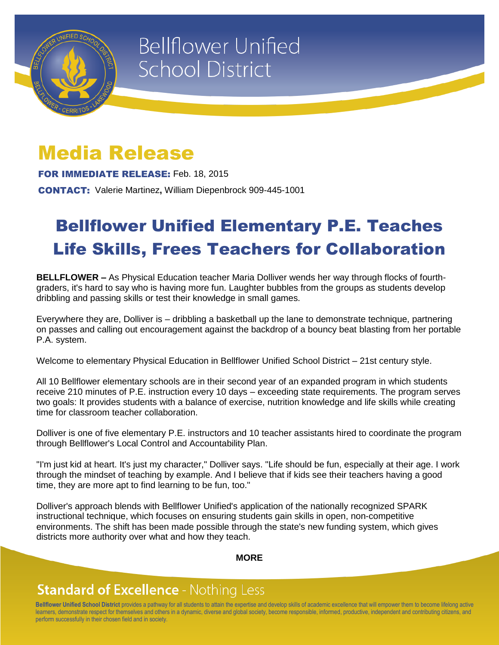

# **Bellflower Unified School District**

## Media Release

FOR IMMEDIATE RELEASE: Feb. 18, 2015

CONTACT: Valerie Martinez**,** William Diepenbrock 909-445-1001

## Bellflower Unified Elementary P.E. Teaches Life Skills, Frees Teachers for Collaboration

**BELLFLOWER –** As Physical Education teacher Maria Dolliver wends her way through flocks of fourthgraders, it's hard to say who is having more fun. Laughter bubbles from the groups as students develop dribbling and passing skills or test their knowledge in small games.

Everywhere they are, Dolliver is – dribbling a basketball up the lane to demonstrate technique, partnering on passes and calling out encouragement against the backdrop of a bouncy beat blasting from her portable P.A. system.

Welcome to elementary Physical Education in Bellflower Unified School District – 21st century style.

All 10 Bellflower elementary schools are in their second year of an expanded program in which students receive 210 minutes of P.E. instruction every 10 days – exceeding state requirements. The program serves two goals: It provides students with a balance of exercise, nutrition knowledge and life skills while creating time for classroom teacher collaboration.

Dolliver is one of five elementary P.E. instructors and 10 teacher assistants hired to coordinate the program through Bellflower's Local Control and Accountability Plan.

"I'm just kid at heart. It's just my character," Dolliver says. "Life should be fun, especially at their age. I work through the mindset of teaching by example. And I believe that if kids see their teachers having a good time, they are more apt to find learning to be fun, too."

Dolliver's approach blends with Bellflower Unified's application of the nationally recognized SPARK instructional technique, which focuses on ensuring students gain skills in open, non-competitive environments. The shift has been made possible through the state's new funding system, which gives districts more authority over what and how they teach.

#### **MORE**

### **Standard of Excellence - Nothing Less**

**Bellflower Unified School District** provides a pathway for all students to attain the expertise and develop skills of academic excellence that will empower them to become lifelong active learners, demonstrate respect for themselves and others in a dynamic, diverse and global society, become responsible, informed, productive, independent and contributing citizens, and perform successfully in their chosen field and in society.